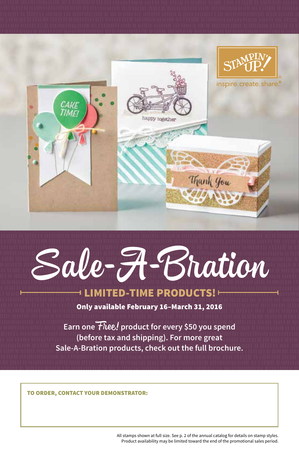

## Sale-A-Bration **LIMITED-TIME PRODUCTS!**

Only available February 16–March 31, 2016

**Earn one** Free! **product for every \$50 you spend (before tax and shipping). For more great Sale-A-Bration products, check out the full brochure.**

TO ORDER, CONTACT YOUR DEMONSTRATOR:

All stamps shown at full size. See p. 2 of the annual catalog for details on stamp styles. Product availability may be limited toward the end of the promotional sales period.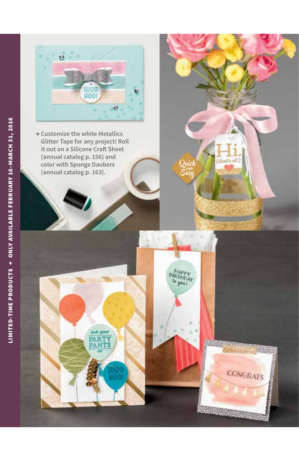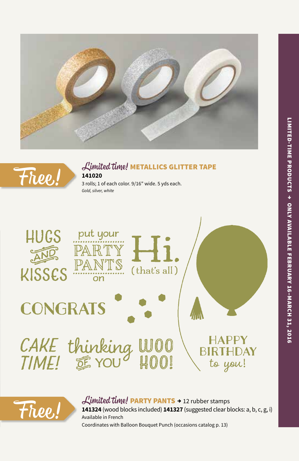



## Limited time! METALLICS GLITTER TAPE **141020**

3 rolls; 1 of each color. 9/16" wide. 5 yds each. *Gold, silver, white*





Free! Limited time! PARTY PANTS → 12 rubber stamps<br>
Available in French<br>
Available in French **141324** (wood blocks included) **141327** (suggested clear blocks: a, b, c, g, i) Available in French Coordinates with Balloon Bouquet Punch (occasions catalog p. 13)